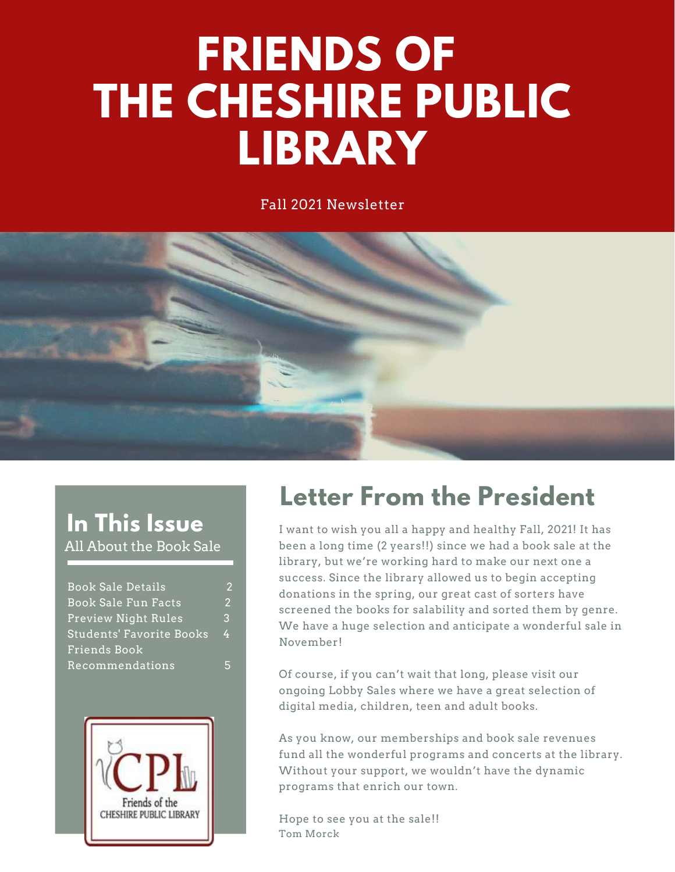# **FRIENDS OF THE CHESHIRE PUBLIC LIBRARY**

Fall 2021 Newsletter



#### **In This Issue** All About the Book Sale

| <b>Book Sale Details</b> | 2             |
|--------------------------|---------------|
| Book Sale Fun Facts      | $\mathcal{P}$ |
| Preview Night Rules      | 3             |
| Students' Favorite Books | 4             |
| Friends Book             |               |
| Recommendations          |               |



#### **Letter From the President**

I want to wish you all a happy and healthy Fall, 2021! It has been a long time (2 years!!) since we had a book sale at the library, but we're working hard to make our next one a success. Since the library allowed us to begin accepting donations in the spring, our great cast of sorters have screened the books for salability and sorted them by genre. We have a huge selection and anticipate a wonderful sale in November!

Of course, if you can't wait that long, please visit our ongoing Lobby Sales where we have a great selection of digital media, children, teen and adult books.

As you know, our memberships and book sale revenues fund all the wonderful programs and concerts at the library. Without your support, we wouldn't have the dynamic programs that enrich our town.

Hope to see you at the sale!! Tom Morck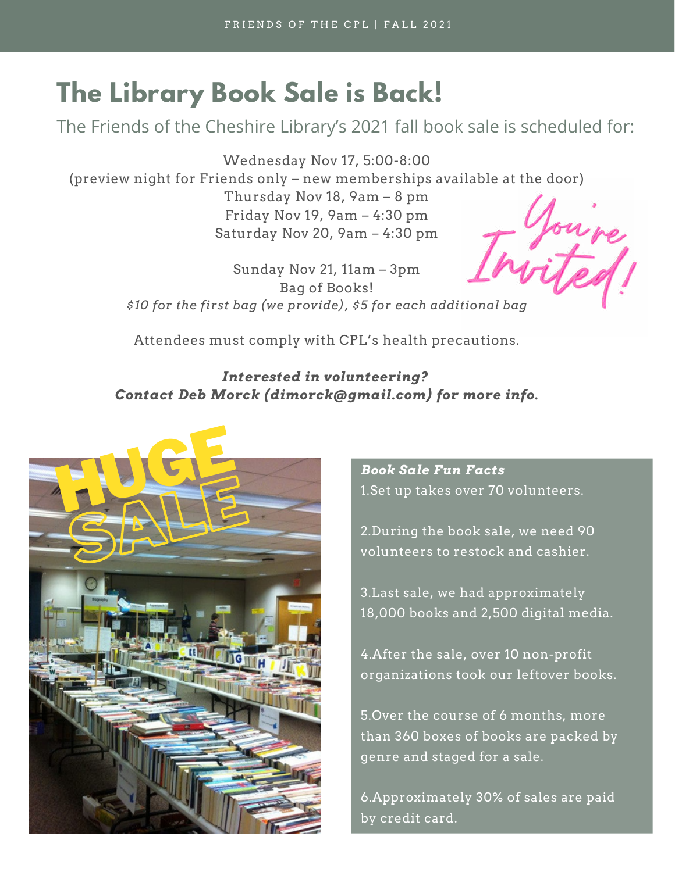#### **The Library Book Sale is Back!**

The Friends of the Cheshire Library's 2021 fall book sale is scheduled for:

Wednesday Nov 17, 5:00-8:00 (preview night for Friends only – new memberships available at the door) Thursday Nov 18, 9am – 8 pm Friday Nov 19, 9am – 4:30 pm Joure Saturday Nov 20, 9am – 4:30 pm

Sunday Nov 21, 11am – 3pm Bag of Books! *\$10 for the first bag (we provide), \$5 for each additional bag*

Attendees must comply with CPL's health precautions.

#### *Interested in volunteering? Contact Deb Morck (dimorck@gmail.com) for more info.*



*Book Sale Fun Facts* 1.Set up takes over 70 volunteers.

2.During the book sale, we need 90 volunteers to restock and cashier.

3.Last sale, we had approximately 18,000 books and 2,500 digital media.

4.After the sale, over 10 non-profit organizations took our leftover books.

5.Over the course of 6 months, more than 360 boxes of books are packed by genre and staged for a sale.

6.Approximately 30% of sales are paid by credit card.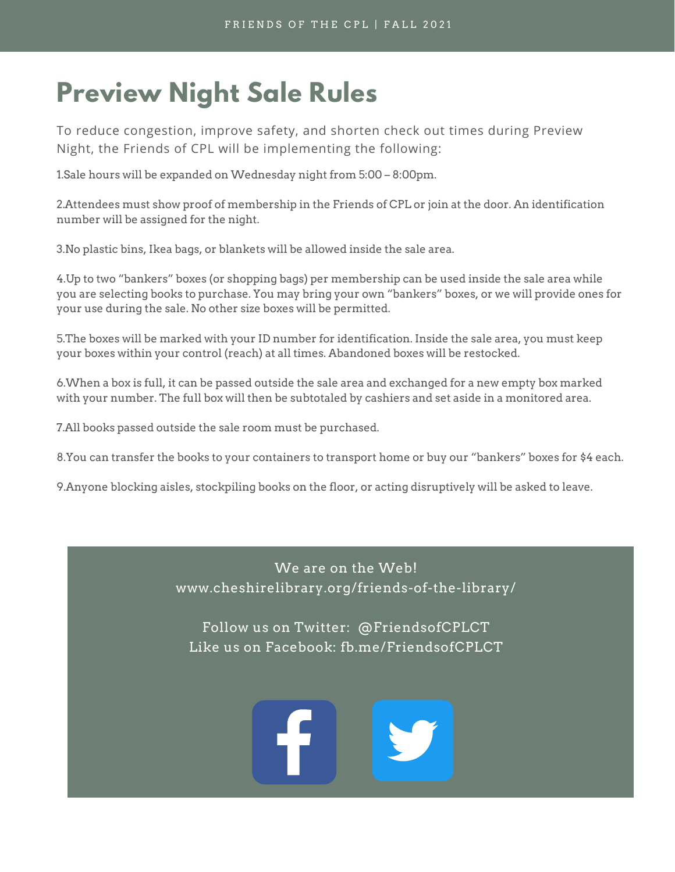### **Preview Night Sale Rules**

To reduce congestion, improve safety, and shorten check out times during Preview Night, the Friends of CPL will be implementing the following:

1.Sale hours will be expanded on Wednesday night from 5:00 – 8:00pm.

2.Attendees must show proof of membership in the Friends of CPL or join at the door. An identification number will be assigned for the night.

3.No plastic bins, Ikea bags, or blankets will be allowed inside the sale area.

4.Up to two "bankers" boxes (or shopping bags) per membership can be used inside the sale area while you are selecting books to purchase. You may bring your own "bankers" boxes, or we will provide ones for your use during the sale. No other size boxes will be permitted.

5.The boxes will be marked with your ID number for identification. Inside the sale area, you must keep your boxes within your control (reach) at all times. Abandoned boxes will be restocked.

6.When a box is full, it can be passed outside the sale area and exchanged for a new empty box marked with your number. The full box will then be subtotaled by cashiers and set aside in a monitored area.

7.All books passed outside the sale room must be purchased.

8.You can transfer the books to your containers to transport home or buy our "bankers" boxes for \$4 each.

9.Anyone blocking aisles, stockpiling books on the floor, or acting disruptively will be asked to leave.

*The idea behind* We are on the Web! *game* of the *notary*. www.cheshirelibrary.org/friends-of-the-library/

*hasten the learning* Follow us on Twitter: @FriendsofCPLCT Like us on Facebook: fb.me/FriendsofCPLCT

*friendly*

*competition.*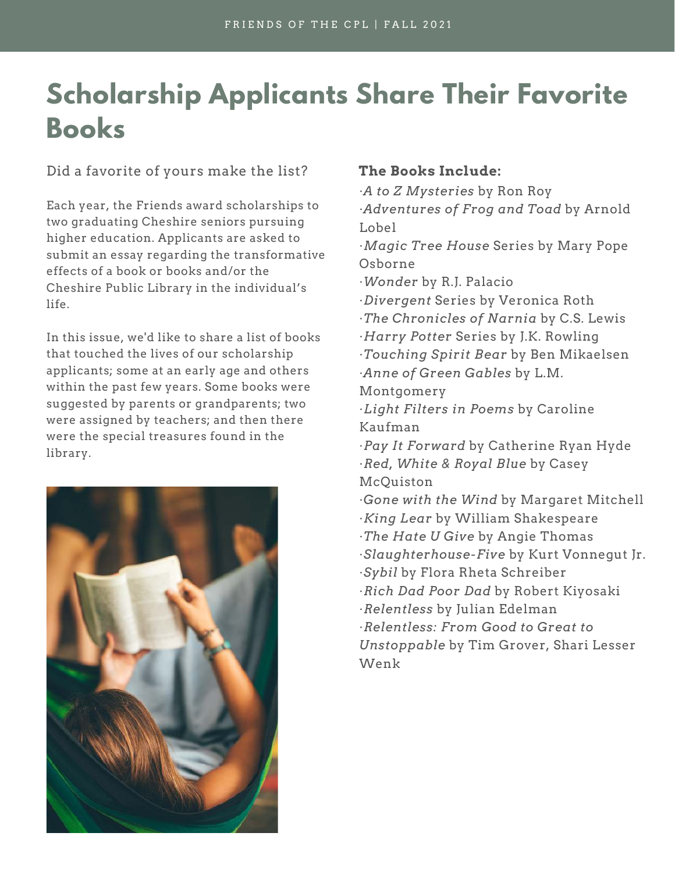## **Scholarship Applicants Share Their Favorite Books**

Did a favorite of yours make the list? **The Books Include:**

Each year, the Friends award scholarships to two graduating Cheshire seniors pursuing higher education. Applicants are asked to submit an essay regarding the transformative effects of a book or books and/or the Cheshire Public Library in the individual's life.

In this issue, we'd like to share a list of books that touched the lives of our scholarship applicants; some at an early age and others within the past few years. Some books were suggested by parents or grandparents; two were assigned by teachers; and then there were the special treasures found in the library.



·*A to Z Mysteries* by Ron Roy ·*Adventures of Frog and Toad* by Arnold Lobel

·*Magic Tree House* Series by Mary Pope Osborne

·*Wonder* by R.J. Palacio

- ·*Divergent* Series by Veronica Roth
- ·*The Chronicles of Narnia* by C.S. Lewis
- ·*Harry Potter* Series by J.K. Rowling
- ·*Touching Spirit Bear* by Ben Mikaelsen ·*Anne of Green Gables* by L.M.

Montgomery

- ·*Light Filters in Poems* by Caroline Kaufman
- ·*Pay It Forward* by Catherine Ryan Hyde ·*Red, White & Royal Blue* by Casey McQuiston
- ·*Gone with the Wind* by Margaret Mitchell
- ·*King Lear* by William Shakespeare
- ·*The Hate U Give* by Angie Thomas
- ·*Slaughterhouse-Five* by Kurt Vonnegut Jr.
- ·*Sybil* by Flora Rheta Schreiber
- ·*Rich Dad Poor Dad* by Robert Kiyosaki
- ·*Relentless* by Julian Edelman
- ·*Relentless: From Good to Great to Unstoppable* by Tim Grover, Shari Lesser Wenk